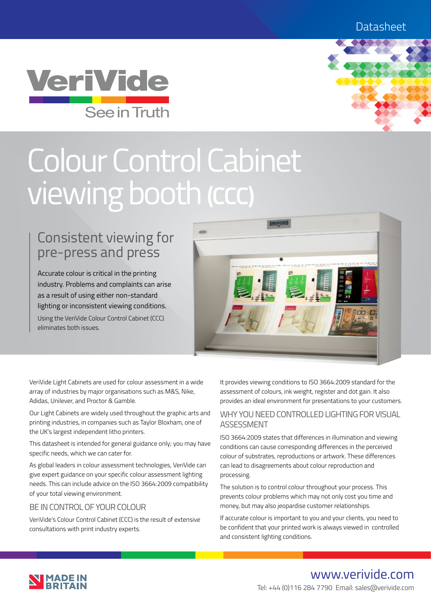



# Colour Control Cabinet viewing booth **(CCC)**

# Consistent viewing for pre-press and press

Accurate colour is critical in the printing industry. Problems and complaints can arise as a result of using either non-standard lighting or inconsistent viewing conditions. Using the VeriVide Colour Control Cabinet (CCC) eliminates both issues.



VeriVide Light Cabinets are used for colour assessment in a wide array of industries by major organisations such as M&S, Nike, Adidas, Unilever, and Proctor & Gamble.

Our Light Cabinets are widely used throughout the graphic arts and printing industries, in companies such as Taylor Bloxham, one of the UK's largest independent litho printers.

This datasheet is intended for general guidance only; you may have specific needs, which we can cater for.

As global leaders in colour assessment technologies, VeriVide can give expert guidance on your specific colour assessment lighting needs. This can include advice on the ISO 3664:2009 compatibility of your total viewing environment.

#### BE IN CONTROL OF YOUR COLOUR

VeriVide's Colour Control Cabinet (CCC) is the result of extensive consultations with print industry experts.

It provides viewing conditions to ISO 3664:2009 standard for the assessment of colours, ink weight, register and dot gain. It also provides an ideal environment for presentations to your customers.

### WHY YOU NEED CONTROLLED LIGHTING FOR VISUAL ASSESSMENT

ISO 3664:2009 states that differences in illumination and viewing conditions can cause corresponding differences in the perceived colour of substrates, reproductions or artwork. These differences can lead to disagreements about colour reproduction and processing.

The solution is to control colour throughout your process. This prevents colour problems which may not only cost you time and money, but may also jeopardise customer relationships.

If accurate colour is important to you and your clients, you need to be confident that your printed work is always viewed in controlled and consistent lighting conditions.



www.verivide.com Tel: +44 (0)116 284 7790 Email: sales@verivide.com